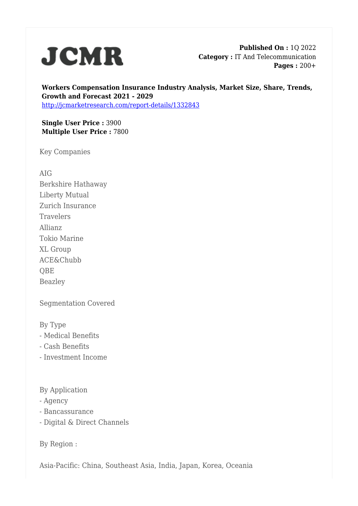

**Published On :** 1Q 2022 **Category :** IT And Telecommunication **Pages :** 200+

**Workers Compensation Insurance Industry Analysis, Market Size, Share, Trends, Growth and Forecast 2021 - 2029** <http://jcmarketresearch.com/report-details/1332843>

**Single User Price :** 3900 **Multiple User Price :** 7800

Key Companies

AIG Berkshire Hathaway Liberty Mutual Zurich Insurance Travelers Allianz Tokio Marine XL Group ACE&Chubb QBE Beazley

Segmentation Covered

By Type

- Medical Benefits
- Cash Benefits
- Investment Income

By Application

- Agency
- Bancassurance
- Digital & Direct Channels

By Region :

Asia-Pacific: China, Southeast Asia, India, Japan, Korea, Oceania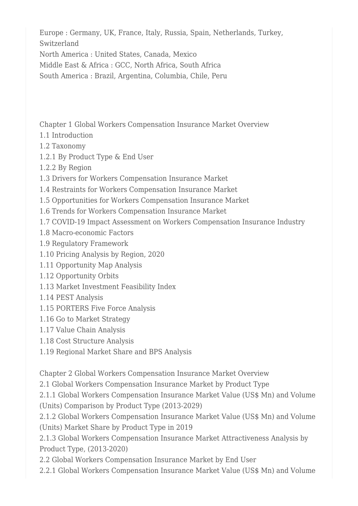Europe : Germany, UK, France, Italy, Russia, Spain, Netherlands, Turkey, Switzerland

North America : United States, Canada, Mexico

Middle East & Africa : GCC, North Africa, South Africa

South America : Brazil, Argentina, Columbia, Chile, Peru

Chapter 1 Global Workers Compensation Insurance Market Overview

- 1.1 Introduction
- 1.2 Taxonomy
- 1.2.1 By Product Type & End User
- 1.2.2 By Region
- 1.3 Drivers for Workers Compensation Insurance Market
- 1.4 Restraints for Workers Compensation Insurance Market
- 1.5 Opportunities for Workers Compensation Insurance Market
- 1.6 Trends for Workers Compensation Insurance Market
- 1.7 COVID-19 Impact Assessment on Workers Compensation Insurance Industry
- 1.8 Macro-economic Factors
- 1.9 Regulatory Framework
- 1.10 Pricing Analysis by Region, 2020
- 1.11 Opportunity Map Analysis
- 1.12 Opportunity Orbits
- 1.13 Market Investment Feasibility Index
- 1.14 PEST Analysis
- 1.15 PORTERS Five Force Analysis
- 1.16 Go to Market Strategy
- 1.17 Value Chain Analysis
- 1.18 Cost Structure Analysis
- 1.19 Regional Market Share and BPS Analysis

Chapter 2 Global Workers Compensation Insurance Market Overview

2.1 Global Workers Compensation Insurance Market by Product Type

2.1.1 Global Workers Compensation Insurance Market Value (US\$ Mn) and Volume (Units) Comparison by Product Type (2013-2029)

2.1.2 Global Workers Compensation Insurance Market Value (US\$ Mn) and Volume (Units) Market Share by Product Type in 2019

2.1.3 Global Workers Compensation Insurance Market Attractiveness Analysis by Product Type, (2013-2020)

2.2 Global Workers Compensation Insurance Market by End User

2.2.1 Global Workers Compensation Insurance Market Value (US\$ Mn) and Volume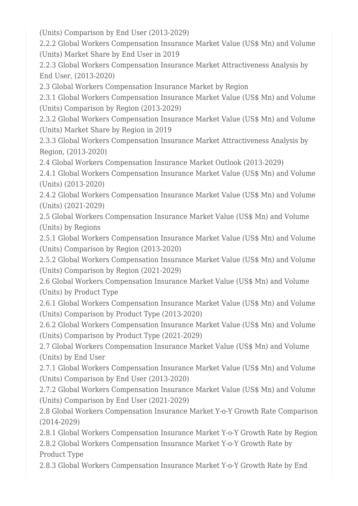(Units) Comparison by End User (2013-2029)

2.2.2 Global Workers Compensation Insurance Market Value (US\$ Mn) and Volume (Units) Market Share by End User in 2019

2.2.3 Global Workers Compensation Insurance Market Attractiveness Analysis by End User, (2013-2020)

2.3 Global Workers Compensation Insurance Market by Region

2.3.1 Global Workers Compensation Insurance Market Value (US\$ Mn) and Volume (Units) Comparison by Region (2013-2029)

2.3.2 Global Workers Compensation Insurance Market Value (US\$ Mn) and Volume (Units) Market Share by Region in 2019

2.3.3 Global Workers Compensation Insurance Market Attractiveness Analysis by Region, (2013-2020)

2.4 Global Workers Compensation Insurance Market Outlook (2013-2029)

2.4.1 Global Workers Compensation Insurance Market Value (US\$ Mn) and Volume (Units) (2013-2020)

2.4.2 Global Workers Compensation Insurance Market Value (US\$ Mn) and Volume (Units) (2021-2029)

2.5 Global Workers Compensation Insurance Market Value (US\$ Mn) and Volume (Units) by Regions

2.5.1 Global Workers Compensation Insurance Market Value (US\$ Mn) and Volume (Units) Comparison by Region (2013-2020)

2.5.2 Global Workers Compensation Insurance Market Value (US\$ Mn) and Volume (Units) Comparison by Region (2021-2029)

2.6 Global Workers Compensation Insurance Market Value (US\$ Mn) and Volume (Units) by Product Type

2.6.1 Global Workers Compensation Insurance Market Value (US\$ Mn) and Volume (Units) Comparison by Product Type (2013-2020)

2.6.2 Global Workers Compensation Insurance Market Value (US\$ Mn) and Volume (Units) Comparison by Product Type (2021-2029)

2.7 Global Workers Compensation Insurance Market Value (US\$ Mn) and Volume (Units) by End User

2.7.1 Global Workers Compensation Insurance Market Value (US\$ Mn) and Volume (Units) Comparison by End User (2013-2020)

2.7.2 Global Workers Compensation Insurance Market Value (US\$ Mn) and Volume (Units) Comparison by End User (2021-2029)

2.8 Global Workers Compensation Insurance Market Y-o-Y Growth Rate Comparison (2014-2029)

2.8.1 Global Workers Compensation Insurance Market Y-o-Y Growth Rate by Region 2.8.2 Global Workers Compensation Insurance Market Y-o-Y Growth Rate by Product Type

2.8.3 Global Workers Compensation Insurance Market Y-o-Y Growth Rate by End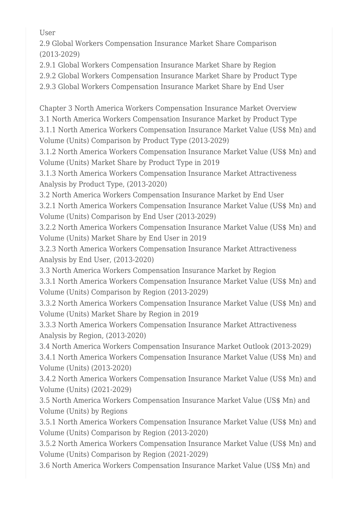User

2.9 Global Workers Compensation Insurance Market Share Comparison (2013-2029)

2.9.1 Global Workers Compensation Insurance Market Share by Region

2.9.2 Global Workers Compensation Insurance Market Share by Product Type

2.9.3 Global Workers Compensation Insurance Market Share by End User

Chapter 3 North America Workers Compensation Insurance Market Overview 3.1 North America Workers Compensation Insurance Market by Product Type

3.1.1 North America Workers Compensation Insurance Market Value (US\$ Mn) and Volume (Units) Comparison by Product Type (2013-2029)

3.1.2 North America Workers Compensation Insurance Market Value (US\$ Mn) and Volume (Units) Market Share by Product Type in 2019

3.1.3 North America Workers Compensation Insurance Market Attractiveness Analysis by Product Type, (2013-2020)

3.2 North America Workers Compensation Insurance Market by End User

3.2.1 North America Workers Compensation Insurance Market Value (US\$ Mn) and Volume (Units) Comparison by End User (2013-2029)

3.2.2 North America Workers Compensation Insurance Market Value (US\$ Mn) and Volume (Units) Market Share by End User in 2019

3.2.3 North America Workers Compensation Insurance Market Attractiveness Analysis by End User, (2013-2020)

3.3 North America Workers Compensation Insurance Market by Region

3.3.1 North America Workers Compensation Insurance Market Value (US\$ Mn) and Volume (Units) Comparison by Region (2013-2029)

3.3.2 North America Workers Compensation Insurance Market Value (US\$ Mn) and Volume (Units) Market Share by Region in 2019

3.3.3 North America Workers Compensation Insurance Market Attractiveness Analysis by Region, (2013-2020)

3.4 North America Workers Compensation Insurance Market Outlook (2013-2029)

3.4.1 North America Workers Compensation Insurance Market Value (US\$ Mn) and Volume (Units) (2013-2020)

3.4.2 North America Workers Compensation Insurance Market Value (US\$ Mn) and Volume (Units) (2021-2029)

3.5 North America Workers Compensation Insurance Market Value (US\$ Mn) and Volume (Units) by Regions

3.5.1 North America Workers Compensation Insurance Market Value (US\$ Mn) and Volume (Units) Comparison by Region (2013-2020)

3.5.2 North America Workers Compensation Insurance Market Value (US\$ Mn) and Volume (Units) Comparison by Region (2021-2029)

3.6 North America Workers Compensation Insurance Market Value (US\$ Mn) and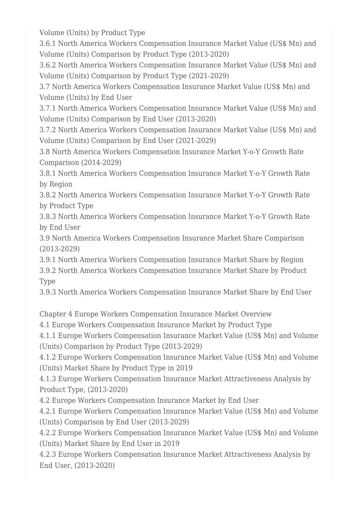Volume (Units) by Product Type

3.6.1 North America Workers Compensation Insurance Market Value (US\$ Mn) and Volume (Units) Comparison by Product Type (2013-2020)

3.6.2 North America Workers Compensation Insurance Market Value (US\$ Mn) and Volume (Units) Comparison by Product Type (2021-2029)

3.7 North America Workers Compensation Insurance Market Value (US\$ Mn) and Volume (Units) by End User

3.7.1 North America Workers Compensation Insurance Market Value (US\$ Mn) and Volume (Units) Comparison by End User (2013-2020)

3.7.2 North America Workers Compensation Insurance Market Value (US\$ Mn) and Volume (Units) Comparison by End User (2021-2029)

3.8 North America Workers Compensation Insurance Market Y-o-Y Growth Rate Comparison (2014-2029)

3.8.1 North America Workers Compensation Insurance Market Y-o-Y Growth Rate by Region

3.8.2 North America Workers Compensation Insurance Market Y-o-Y Growth Rate by Product Type

3.8.3 North America Workers Compensation Insurance Market Y-o-Y Growth Rate by End User

3.9 North America Workers Compensation Insurance Market Share Comparison (2013-2029)

3.9.1 North America Workers Compensation Insurance Market Share by Region

3.9.2 North America Workers Compensation Insurance Market Share by Product Type

3.9.3 North America Workers Compensation Insurance Market Share by End User

Chapter 4 Europe Workers Compensation Insurance Market Overview

4.1 Europe Workers Compensation Insurance Market by Product Type

4.1.1 Europe Workers Compensation Insurance Market Value (US\$ Mn) and Volume (Units) Comparison by Product Type (2013-2029)

4.1.2 Europe Workers Compensation Insurance Market Value (US\$ Mn) and Volume (Units) Market Share by Product Type in 2019

4.1.3 Europe Workers Compensation Insurance Market Attractiveness Analysis by Product Type, (2013-2020)

4.2 Europe Workers Compensation Insurance Market by End User

4.2.1 Europe Workers Compensation Insurance Market Value (US\$ Mn) and Volume (Units) Comparison by End User (2013-2029)

4.2.2 Europe Workers Compensation Insurance Market Value (US\$ Mn) and Volume (Units) Market Share by End User in 2019

4.2.3 Europe Workers Compensation Insurance Market Attractiveness Analysis by End User, (2013-2020)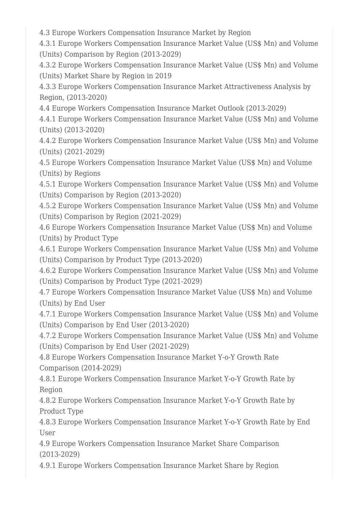4.3 Europe Workers Compensation Insurance Market by Region

4.3.1 Europe Workers Compensation Insurance Market Value (US\$ Mn) and Volume (Units) Comparison by Region (2013-2029)

4.3.2 Europe Workers Compensation Insurance Market Value (US\$ Mn) and Volume (Units) Market Share by Region in 2019

4.3.3 Europe Workers Compensation Insurance Market Attractiveness Analysis by Region, (2013-2020)

4.4 Europe Workers Compensation Insurance Market Outlook (2013-2029)

4.4.1 Europe Workers Compensation Insurance Market Value (US\$ Mn) and Volume (Units) (2013-2020)

4.4.2 Europe Workers Compensation Insurance Market Value (US\$ Mn) and Volume (Units) (2021-2029)

4.5 Europe Workers Compensation Insurance Market Value (US\$ Mn) and Volume (Units) by Regions

4.5.1 Europe Workers Compensation Insurance Market Value (US\$ Mn) and Volume (Units) Comparison by Region (2013-2020)

4.5.2 Europe Workers Compensation Insurance Market Value (US\$ Mn) and Volume (Units) Comparison by Region (2021-2029)

4.6 Europe Workers Compensation Insurance Market Value (US\$ Mn) and Volume (Units) by Product Type

4.6.1 Europe Workers Compensation Insurance Market Value (US\$ Mn) and Volume (Units) Comparison by Product Type (2013-2020)

4.6.2 Europe Workers Compensation Insurance Market Value (US\$ Mn) and Volume (Units) Comparison by Product Type (2021-2029)

4.7 Europe Workers Compensation Insurance Market Value (US\$ Mn) and Volume (Units) by End User

4.7.1 Europe Workers Compensation Insurance Market Value (US\$ Mn) and Volume (Units) Comparison by End User (2013-2020)

4.7.2 Europe Workers Compensation Insurance Market Value (US\$ Mn) and Volume (Units) Comparison by End User (2021-2029)

4.8 Europe Workers Compensation Insurance Market Y-o-Y Growth Rate Comparison (2014-2029)

4.8.1 Europe Workers Compensation Insurance Market Y-o-Y Growth Rate by Region

4.8.2 Europe Workers Compensation Insurance Market Y-o-Y Growth Rate by Product Type

4.8.3 Europe Workers Compensation Insurance Market Y-o-Y Growth Rate by End User

4.9 Europe Workers Compensation Insurance Market Share Comparison (2013-2029)

4.9.1 Europe Workers Compensation Insurance Market Share by Region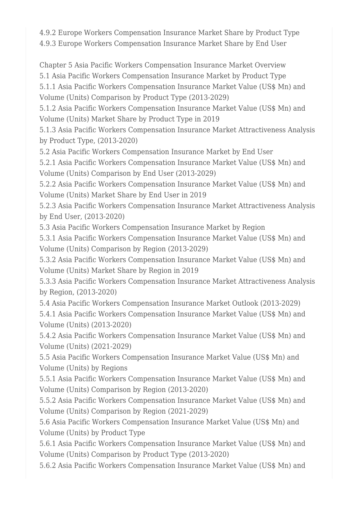4.9.2 Europe Workers Compensation Insurance Market Share by Product Type 4.9.3 Europe Workers Compensation Insurance Market Share by End User

Chapter 5 Asia Pacific Workers Compensation Insurance Market Overview 5.1 Asia Pacific Workers Compensation Insurance Market by Product Type 5.1.1 Asia Pacific Workers Compensation Insurance Market Value (US\$ Mn) and Volume (Units) Comparison by Product Type (2013-2029)

5.1.2 Asia Pacific Workers Compensation Insurance Market Value (US\$ Mn) and Volume (Units) Market Share by Product Type in 2019

5.1.3 Asia Pacific Workers Compensation Insurance Market Attractiveness Analysis by Product Type, (2013-2020)

5.2 Asia Pacific Workers Compensation Insurance Market by End User

5.2.1 Asia Pacific Workers Compensation Insurance Market Value (US\$ Mn) and Volume (Units) Comparison by End User (2013-2029)

5.2.2 Asia Pacific Workers Compensation Insurance Market Value (US\$ Mn) and Volume (Units) Market Share by End User in 2019

5.2.3 Asia Pacific Workers Compensation Insurance Market Attractiveness Analysis by End User, (2013-2020)

5.3 Asia Pacific Workers Compensation Insurance Market by Region

5.3.1 Asia Pacific Workers Compensation Insurance Market Value (US\$ Mn) and Volume (Units) Comparison by Region (2013-2029)

5.3.2 Asia Pacific Workers Compensation Insurance Market Value (US\$ Mn) and Volume (Units) Market Share by Region in 2019

5.3.3 Asia Pacific Workers Compensation Insurance Market Attractiveness Analysis by Region, (2013-2020)

5.4 Asia Pacific Workers Compensation Insurance Market Outlook (2013-2029) 5.4.1 Asia Pacific Workers Compensation Insurance Market Value (US\$ Mn) and Volume (Units) (2013-2020)

5.4.2 Asia Pacific Workers Compensation Insurance Market Value (US\$ Mn) and Volume (Units) (2021-2029)

5.5 Asia Pacific Workers Compensation Insurance Market Value (US\$ Mn) and Volume (Units) by Regions

5.5.1 Asia Pacific Workers Compensation Insurance Market Value (US\$ Mn) and Volume (Units) Comparison by Region (2013-2020)

5.5.2 Asia Pacific Workers Compensation Insurance Market Value (US\$ Mn) and Volume (Units) Comparison by Region (2021-2029)

5.6 Asia Pacific Workers Compensation Insurance Market Value (US\$ Mn) and Volume (Units) by Product Type

5.6.1 Asia Pacific Workers Compensation Insurance Market Value (US\$ Mn) and Volume (Units) Comparison by Product Type (2013-2020)

5.6.2 Asia Pacific Workers Compensation Insurance Market Value (US\$ Mn) and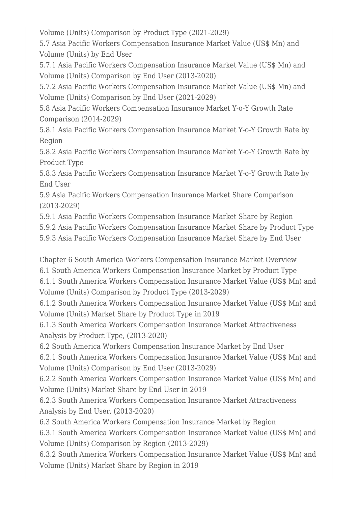Volume (Units) Comparison by Product Type (2021-2029)

5.7 Asia Pacific Workers Compensation Insurance Market Value (US\$ Mn) and Volume (Units) by End User

5.7.1 Asia Pacific Workers Compensation Insurance Market Value (US\$ Mn) and Volume (Units) Comparison by End User (2013-2020)

5.7.2 Asia Pacific Workers Compensation Insurance Market Value (US\$ Mn) and Volume (Units) Comparison by End User (2021-2029)

5.8 Asia Pacific Workers Compensation Insurance Market Y-o-Y Growth Rate Comparison (2014-2029)

5.8.1 Asia Pacific Workers Compensation Insurance Market Y-o-Y Growth Rate by Region

5.8.2 Asia Pacific Workers Compensation Insurance Market Y-o-Y Growth Rate by Product Type

5.8.3 Asia Pacific Workers Compensation Insurance Market Y-o-Y Growth Rate by End User

5.9 Asia Pacific Workers Compensation Insurance Market Share Comparison (2013-2029)

5.9.1 Asia Pacific Workers Compensation Insurance Market Share by Region

5.9.2 Asia Pacific Workers Compensation Insurance Market Share by Product Type

5.9.3 Asia Pacific Workers Compensation Insurance Market Share by End User

Chapter 6 South America Workers Compensation Insurance Market Overview

6.1 South America Workers Compensation Insurance Market by Product Type

6.1.1 South America Workers Compensation Insurance Market Value (US\$ Mn) and Volume (Units) Comparison by Product Type (2013-2029)

6.1.2 South America Workers Compensation Insurance Market Value (US\$ Mn) and Volume (Units) Market Share by Product Type in 2019

6.1.3 South America Workers Compensation Insurance Market Attractiveness Analysis by Product Type, (2013-2020)

6.2 South America Workers Compensation Insurance Market by End User

6.2.1 South America Workers Compensation Insurance Market Value (US\$ Mn) and Volume (Units) Comparison by End User (2013-2029)

6.2.2 South America Workers Compensation Insurance Market Value (US\$ Mn) and Volume (Units) Market Share by End User in 2019

6.2.3 South America Workers Compensation Insurance Market Attractiveness Analysis by End User, (2013-2020)

6.3 South America Workers Compensation Insurance Market by Region

6.3.1 South America Workers Compensation Insurance Market Value (US\$ Mn) and Volume (Units) Comparison by Region (2013-2029)

6.3.2 South America Workers Compensation Insurance Market Value (US\$ Mn) and Volume (Units) Market Share by Region in 2019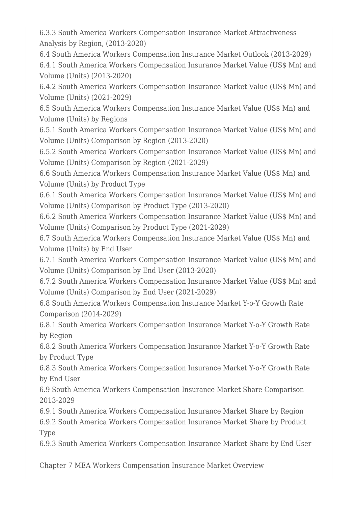6.3.3 South America Workers Compensation Insurance Market Attractiveness Analysis by Region, (2013-2020)

6.4 South America Workers Compensation Insurance Market Outlook (2013-2029) 6.4.1 South America Workers Compensation Insurance Market Value (US\$ Mn) and Volume (Units) (2013-2020)

6.4.2 South America Workers Compensation Insurance Market Value (US\$ Mn) and Volume (Units) (2021-2029)

6.5 South America Workers Compensation Insurance Market Value (US\$ Mn) and Volume (Units) by Regions

6.5.1 South America Workers Compensation Insurance Market Value (US\$ Mn) and Volume (Units) Comparison by Region (2013-2020)

6.5.2 South America Workers Compensation Insurance Market Value (US\$ Mn) and Volume (Units) Comparison by Region (2021-2029)

6.6 South America Workers Compensation Insurance Market Value (US\$ Mn) and Volume (Units) by Product Type

6.6.1 South America Workers Compensation Insurance Market Value (US\$ Mn) and Volume (Units) Comparison by Product Type (2013-2020)

6.6.2 South America Workers Compensation Insurance Market Value (US\$ Mn) and Volume (Units) Comparison by Product Type (2021-2029)

6.7 South America Workers Compensation Insurance Market Value (US\$ Mn) and Volume (Units) by End User

6.7.1 South America Workers Compensation Insurance Market Value (US\$ Mn) and Volume (Units) Comparison by End User (2013-2020)

6.7.2 South America Workers Compensation Insurance Market Value (US\$ Mn) and Volume (Units) Comparison by End User (2021-2029)

6.8 South America Workers Compensation Insurance Market Y-o-Y Growth Rate Comparison (2014-2029)

6.8.1 South America Workers Compensation Insurance Market Y-o-Y Growth Rate by Region

6.8.2 South America Workers Compensation Insurance Market Y-o-Y Growth Rate by Product Type

6.8.3 South America Workers Compensation Insurance Market Y-o-Y Growth Rate by End User

6.9 South America Workers Compensation Insurance Market Share Comparison 2013-2029

6.9.1 South America Workers Compensation Insurance Market Share by Region

6.9.2 South America Workers Compensation Insurance Market Share by Product Type

6.9.3 South America Workers Compensation Insurance Market Share by End User

Chapter 7 MEA Workers Compensation Insurance Market Overview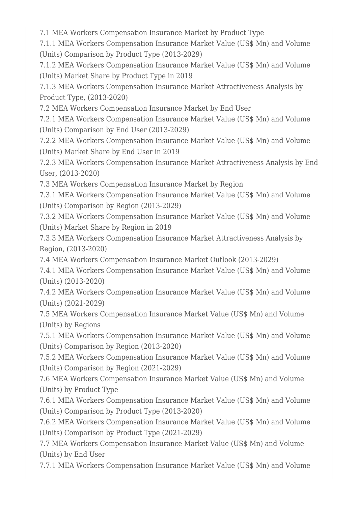7.1 MEA Workers Compensation Insurance Market by Product Type

7.1.1 MEA Workers Compensation Insurance Market Value (US\$ Mn) and Volume (Units) Comparison by Product Type (2013-2029)

7.1.2 MEA Workers Compensation Insurance Market Value (US\$ Mn) and Volume (Units) Market Share by Product Type in 2019

7.1.3 MEA Workers Compensation Insurance Market Attractiveness Analysis by Product Type, (2013-2020)

7.2 MEA Workers Compensation Insurance Market by End User

7.2.1 MEA Workers Compensation Insurance Market Value (US\$ Mn) and Volume (Units) Comparison by End User (2013-2029)

7.2.2 MEA Workers Compensation Insurance Market Value (US\$ Mn) and Volume (Units) Market Share by End User in 2019

7.2.3 MEA Workers Compensation Insurance Market Attractiveness Analysis by End User, (2013-2020)

7.3 MEA Workers Compensation Insurance Market by Region

7.3.1 MEA Workers Compensation Insurance Market Value (US\$ Mn) and Volume (Units) Comparison by Region (2013-2029)

7.3.2 MEA Workers Compensation Insurance Market Value (US\$ Mn) and Volume (Units) Market Share by Region in 2019

7.3.3 MEA Workers Compensation Insurance Market Attractiveness Analysis by Region, (2013-2020)

7.4 MEA Workers Compensation Insurance Market Outlook (2013-2029)

7.4.1 MEA Workers Compensation Insurance Market Value (US\$ Mn) and Volume (Units) (2013-2020)

7.4.2 MEA Workers Compensation Insurance Market Value (US\$ Mn) and Volume (Units) (2021-2029)

7.5 MEA Workers Compensation Insurance Market Value (US\$ Mn) and Volume (Units) by Regions

7.5.1 MEA Workers Compensation Insurance Market Value (US\$ Mn) and Volume (Units) Comparison by Region (2013-2020)

7.5.2 MEA Workers Compensation Insurance Market Value (US\$ Mn) and Volume (Units) Comparison by Region (2021-2029)

7.6 MEA Workers Compensation Insurance Market Value (US\$ Mn) and Volume (Units) by Product Type

7.6.1 MEA Workers Compensation Insurance Market Value (US\$ Mn) and Volume (Units) Comparison by Product Type (2013-2020)

7.6.2 MEA Workers Compensation Insurance Market Value (US\$ Mn) and Volume (Units) Comparison by Product Type (2021-2029)

7.7 MEA Workers Compensation Insurance Market Value (US\$ Mn) and Volume (Units) by End User

7.7.1 MEA Workers Compensation Insurance Market Value (US\$ Mn) and Volume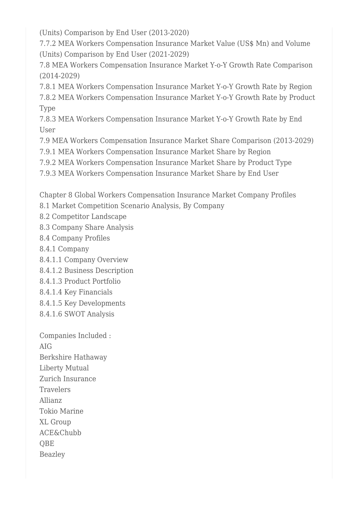(Units) Comparison by End User (2013-2020)

7.7.2 MEA Workers Compensation Insurance Market Value (US\$ Mn) and Volume (Units) Comparison by End User (2021-2029)

7.8 MEA Workers Compensation Insurance Market Y-o-Y Growth Rate Comparison (2014-2029)

7.8.1 MEA Workers Compensation Insurance Market Y-o-Y Growth Rate by Region 7.8.2 MEA Workers Compensation Insurance Market Y-o-Y Growth Rate by Product Type

7.8.3 MEA Workers Compensation Insurance Market Y-o-Y Growth Rate by End User

7.9 MEA Workers Compensation Insurance Market Share Comparison (2013-2029)

7.9.1 MEA Workers Compensation Insurance Market Share by Region

7.9.2 MEA Workers Compensation Insurance Market Share by Product Type

7.9.3 MEA Workers Compensation Insurance Market Share by End User

Chapter 8 Global Workers Compensation Insurance Market Company Profiles

- 8.1 Market Competition Scenario Analysis, By Company
- 8.2 Competitor Landscape
- 8.3 Company Share Analysis
- 8.4 Company Profiles
- 8.4.1 Company
- 8.4.1.1 Company Overview
- 8.4.1.2 Business Description
- 8.4.1.3 Product Portfolio
- 8.4.1.4 Key Financials
- 8.4.1.5 Key Developments
- 8.4.1.6 SWOT Analysis

Companies Included : AIG Berkshire Hathaway Liberty Mutual Zurich Insurance Travelers Allianz Tokio Marine XL Group ACE&Chubb **OBE** Beazley